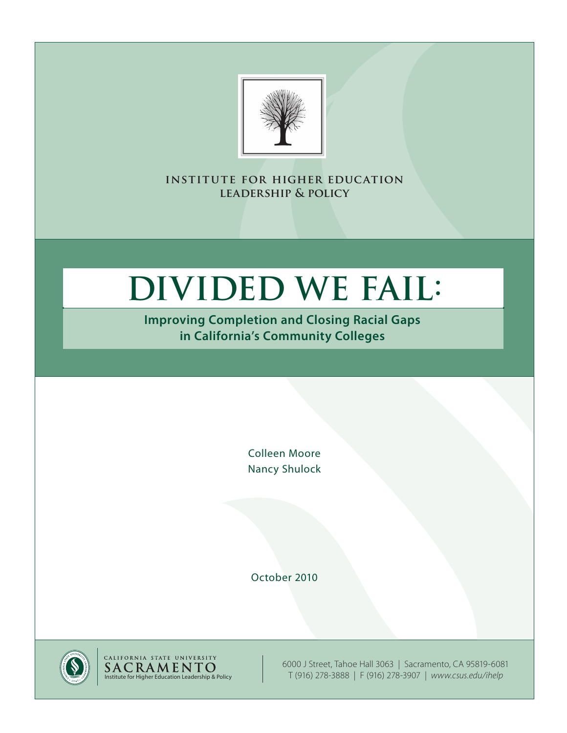

**institute for higher education leadership & policy**

# **Divided We Fail:**

**Improving Completion and Closing Racial Gaps in California's Community Colleges**

> Colleen Moore Nancy Shulock

October 2010





6000 J Street, Tahoe Hall 3063 | Sacramento, CA 95819-6081 T (916) 278-3888 | F (916) 278-3907 | *<www.csus.edu/ihelp>*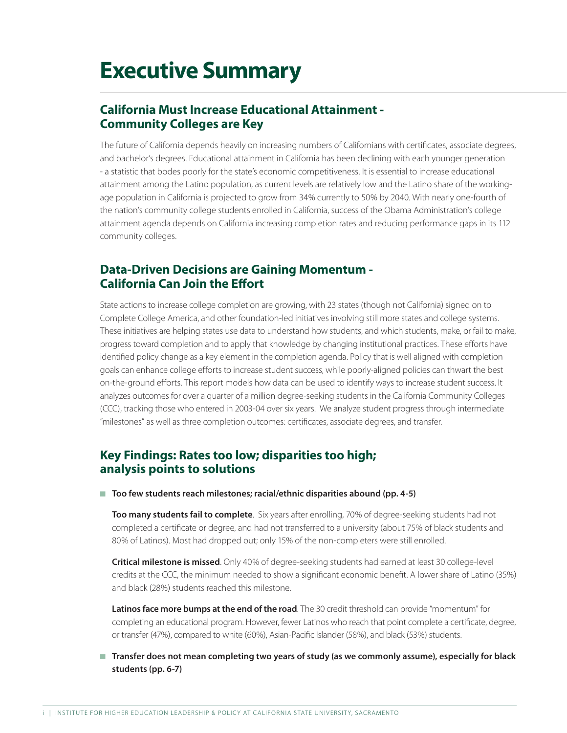# **Executive Summary**

### **California Must Increase Educational Attainment - Community Colleges are Key**

The future of California depends heavily on increasing numbers of Californians with certificates, associate degrees, and bachelor's degrees. Educational attainment in California has been declining with each younger generation - a statistic that bodes poorly for the state's economic competitiveness. It is essential to increase educational attainment among the Latino population, as current levels are relatively low and the Latino share of the workingage population in California is projected to grow from 34% currently to 50% by 2040. With nearly one-fourth of the nation's community college students enrolled in California, success of the Obama Administration's college attainment agenda depends on California increasing completion rates and reducing performance gaps in its 112 community colleges.

### **Data-Driven Decisions are Gaining Momentum - California Can Join the Effort**

State actions to increase college completion are growing, with 23 states (though not California) signed on to Complete College America, and other foundation-led initiatives involving still more states and college systems. These initiatives are helping states use data to understand how students, and which students, make, or fail to make, progress toward completion and to apply that knowledge by changing institutional practices. These efforts have identified policy change as a key element in the completion agenda. Policy that is well aligned with completion goals can enhance college efforts to increase student success, while poorly-aligned policies can thwart the best on-the-ground efforts. This report models how data can be used to identify ways to increase student success. It analyzes outcomes for over a quarter of a million degree-seeking students in the California Community Colleges (CCC), tracking those who entered in 2003-04 over six years. We analyze student progress through intermediate "milestones" as well as three completion outcomes: certificates, associate degrees, and transfer.

### **Key Findings: Rates too low; disparities too high; analysis points to solutions**

■ Too few students reach milestones; racial/ethnic disparities abound (pp. 4-5)

**Too many students fail to complete**. Six years after enrolling, 70% of degree-seeking students had not completed a certificate or degree, and had not transferred to a university (about 75% of black students and 80% of Latinos). Most had dropped out; only 15% of the non-completers were still enrolled.

**Critical milestone is missed**. Only 40% of degree-seeking students had earned at least 30 college-level credits at the CCC, the minimum needed to show a significant economic benefit. A lower share of Latino (35%) and black (28%) students reached this milestone.

**Latinos face more bumps at the end of the road**. The 30 credit threshold can provide "momentum" for completing an educational program. However, fewer Latinos who reach that point complete a certificate, degree, or transfer (47%), compared to white (60%), Asian-Pacific Islander (58%), and black (53%) students.

■ Transfer does not mean completing two years of study (as we commonly assume), especially for black **students (pp. 6-7)**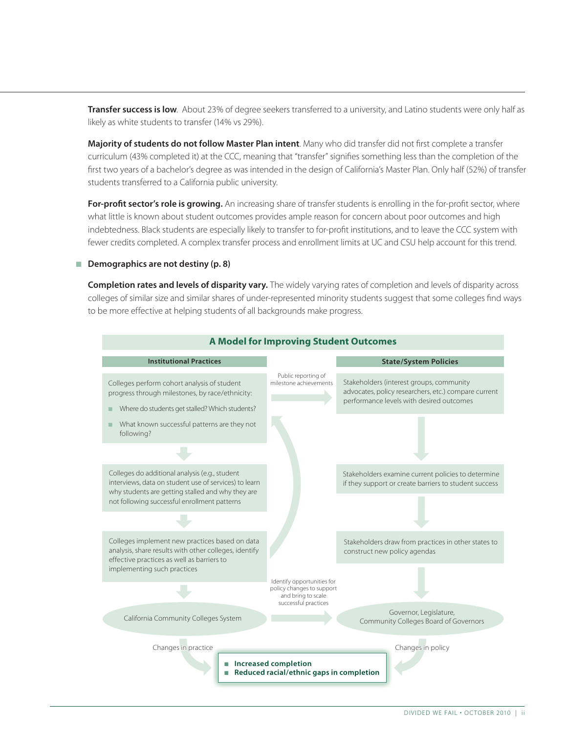**Transfer success is low**. About 23% of degree seekers transferred to a university, and Latino students were only half as likely as white students to transfer (14% vs 29%).

**Majority of students do not follow Master Plan intent**. Many who did transfer did not first complete a transfer curriculum (43% completed it) at the CCC, meaning that "transfer" signifies something less than the completion of the first two years of a bachelor's degree as was intended in the design of California's Master Plan. Only half (52%) of transfer students transferred to a California public university.

For-profit sector's role is growing. An increasing share of transfer students is enrolling in the for-profit sector, where what little is known about student outcomes provides ample reason for concern about poor outcomes and high indebtedness. Black students are especially likely to transfer to for-profit institutions, and to leave the CCC system with fewer credits completed. A complex transfer process and enrollment limits at UC and CSU help account for this trend.

#### ■ Demographics are not destiny (p. 8)

**Completion rates and levels of disparity vary.** The widely varying rates of completion and levels of disparity across colleges of similar size and similar shares of under-represented minority students suggest that some colleges find ways to be more effective at helping students of all backgrounds make progress.

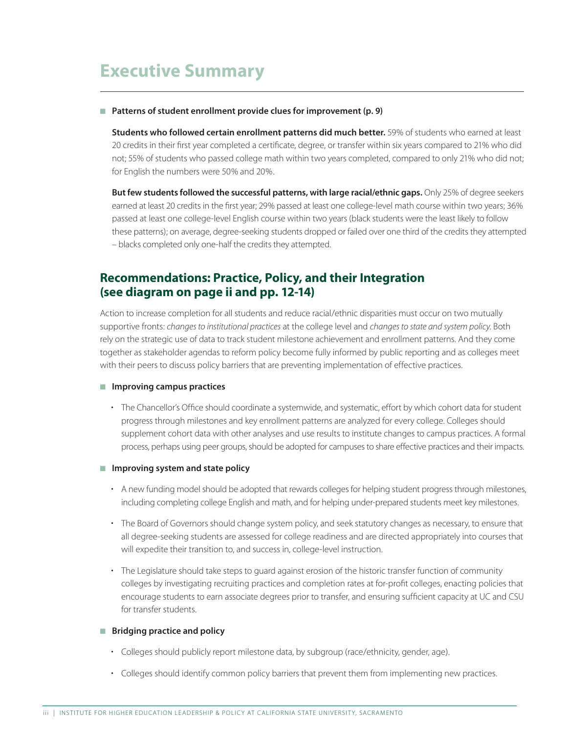# **Executive Summary**

#### ■ Patterns of student enrollment provide clues for improvement (p. 9)

**Students who followed certain enrollment patterns did much better.** 59% of students who earned at least 20 credits in their first year completed a certificate, degree, or transfer within six years compared to 21% who did not; 55% of students who passed college math within two years completed, compared to only 21% who did not; for English the numbers were 50% and 20%.

**But few students followed the successful patterns, with large racial/ethnic gaps.** Only 25% of degree seekers earned at least 20 credits in the first year; 29% passed at least one college-level math course within two years; 36% passed at least one college-level English course within two years (black students were the least likely to follow these patterns); on average, degree-seeking students dropped or failed over one third of the credits they attempted – blacks completed only one-half the credits they attempted.

### **Recommendations: Practice, Policy, and their Integration (see diagram on page ii and pp. 12-14)**

Action to increase completion for all students and reduce racial/ethnic disparities must occur on two mutually supportive fronts: *changes to institutional practices* at the college level and *changes to state and system policy*. Both rely on the strategic use of data to track student milestone achievement and enrollment patterns. And they come together as stakeholder agendas to reform policy become fully informed by public reporting and as colleges meet with their peers to discuss policy barriers that are preventing implementation of effective practices.

#### **n** Improving campus practices

- The Chancellor's Office should coordinate a systemwide, and systematic, effort by which cohort data for student progress through milestones and key enrollment patterns are analyzed for every college. Colleges should supplement cohort data with other analyses and use results to institute changes to campus practices. A formal process, perhaps using peer groups, should be adopted for campuses to share effective practices and their impacts.
- Improving system and state policy
	- A new funding model should be adopted that rewards colleges for helping student progress through milestones, including completing college English and math, and for helping under-prepared students meet key milestones.
	- The Board of Governors should change system policy, and seek statutory changes as necessary, to ensure that all degree-seeking students are assessed for college readiness and are directed appropriately into courses that will expedite their transition to, and success in, college-level instruction.
	- The Legislature should take steps to guard against erosion of the historic transfer function of community colleges by investigating recruiting practices and completion rates at for-profit colleges, enacting policies that encourage students to earn associate degrees prior to transfer, and ensuring sufficient capacity at UC and CSU for transfer students.

#### **n** Bridging practice and policy

- Colleges should publicly report milestone data, by subgroup (race/ethnicity, gender, age).
- Colleges should identify common policy barriers that prevent them from implementing new practices.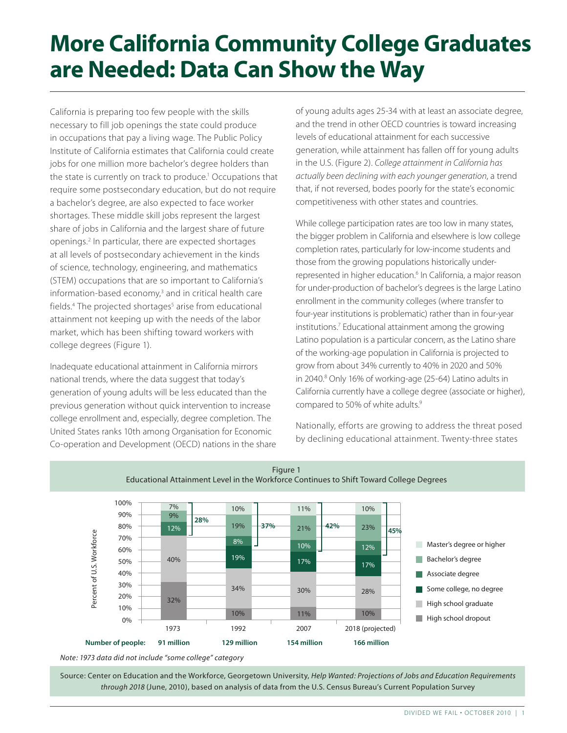# **More California Community College Graduates are Needed: Data Can Show the Way**

California is preparing too few people with the skills necessary to fill job openings the state could produce in occupations that pay a living wage. The Public Policy Institute of California estimates that California could create jobs for one million more bachelor's degree holders than the state is currently on track to produce.<sup>1</sup> Occupations that require some postsecondary education, but do not require a bachelor's degree, are also expected to face worker shortages. These middle skill jobs represent the largest share of jobs in California and the largest share of future openings.2 In particular, there are expected shortages at all levels of postsecondary achievement in the kinds of science, technology, engineering, and mathematics (STEM) occupations that are so important to California's information-based economy,<sup>3</sup> and in critical health care fields.<sup>4</sup> The projected shortages<sup>5</sup> arise from educational attainment not keeping up with the needs of the labor market, which has been shifting toward workers with college degrees (Figure 1).

Inadequate educational attainment in California mirrors national trends, where the data suggest that today's generation of young adults will be less educated than the previous generation without quick intervention to increase college enrollment and, especially, degree completion. The United States ranks 10th among Organisation for Economic Co-operation and Development (OECD) nations in the share

of young adults ages 25-34 with at least an associate degree, and the trend in other OECD countries is toward increasing levels of educational attainment for each successive generation, while attainment has fallen off for young adults in the U.S. (Figure 2). *College attainment in California has actually been declining with each younger generation*, a trend that, if not reversed, bodes poorly for the state's economic competitiveness with other states and countries.

While college participation rates are too low in many states, the bigger problem in California and elsewhere is low college completion rates, particularly for low-income students and those from the growing populations historically underrepresented in higher education.<sup>6</sup> In California, a major reason for under-production of bachelor's degrees is the large Latino enrollment in the community colleges (where transfer to four-year institutions is problematic) rather than in four-year institutions.7 Educational attainment among the growing Latino population is a particular concern, as the Latino share of the working-age population in California is projected to grow from about 34% currently to 40% in 2020 and 50% in 2040.8 Only 16% of working-age (25-64) Latino adults in California currently have a college degree (associate or higher), compared to 50% of white adults.<sup>9</sup>

Nationally, efforts are growing to address the threat posed by declining educational attainment. Twenty-three states





*Note: 1973 data did not include "some college" category* 

Source: Center on Education and the Workforce, Georgetown University, *Help Wanted: Projections of Jobs and Education Requirements through 2018* (June, 2010), based on analysis of data from the U.S. Census Bureau's Current Population Survey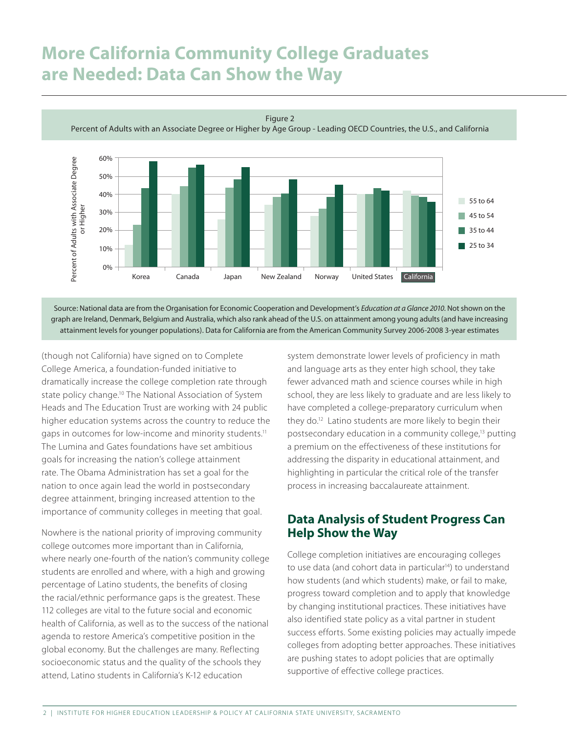# **More California Community College Graduates are Needed: Data Can Show the Way**

Figure 2

Percent of Adults with an Associate Degree or Higher by Age Group - Leading OECD Countries, the U.S., and California



Source: National data are from the Organisation for Economic Cooperation and Development's *Education at a Glance 2010*. Not shown on the graph are Ireland, Denmark, Belgium and Australia, which also rank ahead of the U.S. on attainment among young adults (and have increasing attainment levels for younger populations). Data for California are from the American Community Survey 2006-2008 3-year estimates

(though not California) have signed on to Complete College America, a foundation-funded initiative to dramatically increase the college completion rate through state policy change.<sup>10</sup> The National Association of System Heads and The Education Trust are working with 24 public higher education systems across the country to reduce the gaps in outcomes for low-income and minority students.<sup>11</sup> The Lumina and Gates foundations have set ambitious goals for increasing the nation's college attainment rate. The Obama Administration has set a goal for the nation to once again lead the world in postsecondary degree attainment, bringing increased attention to the importance of community colleges in meeting that goal.

Nowhere is the national priority of improving community college outcomes more important than in California, where nearly one-fourth of the nation's community college students are enrolled and where, with a high and growing percentage of Latino students, the benefits of closing the racial/ethnic performance gaps is the greatest. These 112 colleges are vital to the future social and economic health of California, as well as to the success of the national agenda to restore America's competitive position in the global economy. But the challenges are many. Reflecting socioeconomic status and the quality of the schools they attend, Latino students in California's K-12 education

system demonstrate lower levels of proficiency in math and language arts as they enter high school, they take fewer advanced math and science courses while in high school, they are less likely to graduate and are less likely to have completed a college-preparatory curriculum when they do.12 Latino students are more likely to begin their postsecondary education in a community college,13 putting a premium on the effectiveness of these institutions for addressing the disparity in educational attainment, and highlighting in particular the critical role of the transfer process in increasing baccalaureate attainment.

### **Data Analysis of Student Progress Can Help Show the Way**

College completion initiatives are encouraging colleges to use data (and cohort data in particular<sup>14</sup>) to understand how students (and which students) make, or fail to make, progress toward completion and to apply that knowledge by changing institutional practices. These initiatives have also identified state policy as a vital partner in student success efforts. Some existing policies may actually impede colleges from adopting better approaches. These initiatives are pushing states to adopt policies that are optimally supportive of effective college practices.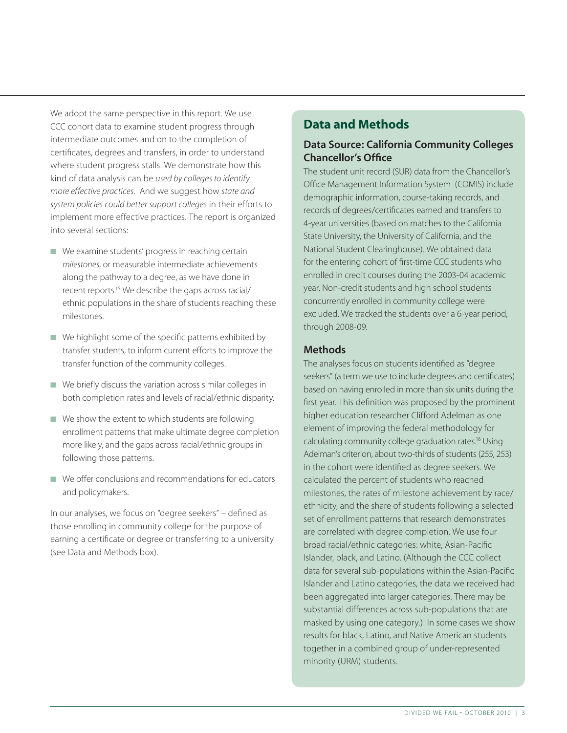We adopt the same perspective in this report. We use CCC cohort data to examine student progress through intermediate outcomes and on to the completion of certificates, degrees and transfers, in order to understand where student progress stalls. We demonstrate how this kind of data analysis can be *used by colleges to identify more effective practices*. And we suggest how *state and system policies could better support colleges* in their efforts to implement more effective practices. The report is organized into several sections:

- $\blacksquare$  We examine students' progress in reaching certain *milestones*, or measurable intermediate achievements along the pathway to a degree, as we have done in recent reports.<sup>15</sup> We describe the gaps across racial/ ethnic populations in the share of students reaching these milestones.
- $\blacksquare$  We highlight some of the specific patterns exhibited by transfer students, to inform current efforts to improve the transfer function of the community colleges.
- $\blacksquare$  We briefly discuss the variation across similar colleges in both completion rates and levels of racial/ethnic disparity.
- $\blacksquare$  We show the extent to which students are following enrollment patterns that make ultimate degree completion more likely, and the gaps across racial/ethnic groups in following those patterns.
- $\blacksquare$  We offer conclusions and recommendations for educators and policymakers.

In our analyses, we focus on "degree seekers" – defined as those enrolling in community college for the purpose of earning a certificate or degree or transferring to a university (see Data and Methods box).

### **Data and Methods**

### Data Source: California Community Colleges Chancellor's Office

The student unit record (SUR) data from the Chancellor's Office Management Information System (COMIS) include demographic information, course-taking records, and records of degrees/certificates earned and transfers to 4-year universities (based on matches to the California State University, the University of California, and the National Student Clearinghouse). We obtained data for the entering cohort of first-time CCC students who enrolled in credit courses during the 2003-04 academic year. Non-credit students and high school students concurrently enrolled in community college were excluded. We tracked the students over a 6-year period, through 2008-09.

### **Methods**

The analyses focus on students identified as "degree seekers" (a term we use to include degrees and certificates) based on having enrolled in more than six units during the first year. This definition was proposed by the prominent higher education researcher Clifford Adelman as one element of improving the federal methodology for calculating community college graduation rates.16 Using Adelman's criterion, about two-thirds of students (255, 253) in the cohort were identified as degree seekers. We calculated the percent of students who reached milestones, the rates of milestone achievement by race/ ethnicity, and the share of students following a selected set of enrollment patterns that research demonstrates are correlated with degree completion. We use four broad racial/ethnic categories: white, Asian-Pacific Islander, black, and Latino. (Although the CCC collect data for several sub-populations within the Asian-Pacific Islander and Latino categories, the data we received had been aggregated into larger categories. There may be substantial differences across sub-populations that are masked by using one category.) In some cases we show results for black, Latino, and Native American students together in a combined group of under-represented minority (URM) students.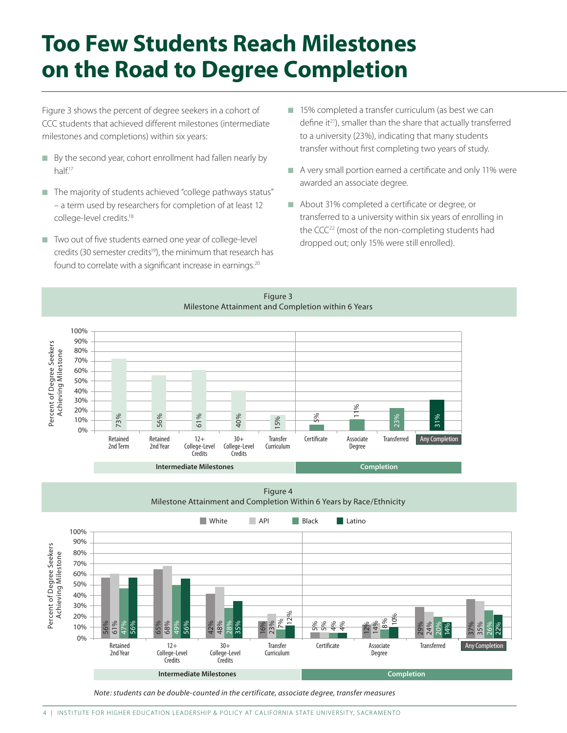# **Too Few Students Reach Milestones on the Road to Degree Completion**

Figure 3 shows the percent of degree seekers in a cohort of CCC students that achieved different milestones (intermediate milestones and completions) within six years:

- By the second year, cohort enrollment had fallen nearly by half.<sup>17</sup>
- $\blacksquare$  The majority of students achieved "college pathways status" – a term used by researchers for completion of at least 12 college-level credits.<sup>18</sup>
- $\blacksquare$  Two out of five students earned one year of college-level credits (30 semester credits<sup>19</sup>), the minimum that research has found to correlate with a significant increase in earnings.<sup>20</sup>
- $\blacksquare$  15% completed a transfer curriculum (as best we can define it<sup>21</sup>), smaller than the share that actually transferred to a university (23%), indicating that many students transfer without first completing two years of study.
- A very small portion earned a certificate and only 11% were awarded an associate degree.
- About 31% completed a certificate or degree, or transferred to a university within six years of enrolling in the CCC<sup>22</sup> (most of the non-completing students had dropped out; only 15% were still enrolled).

Figure 3 Milestone Attainment and Completion within 6 Years



Figure 4 Milestone Attainment and Completion Within 6 Years by Race/Ethnicity



*Note: students can be double-counted in the certificate, associate degree, transfer measures*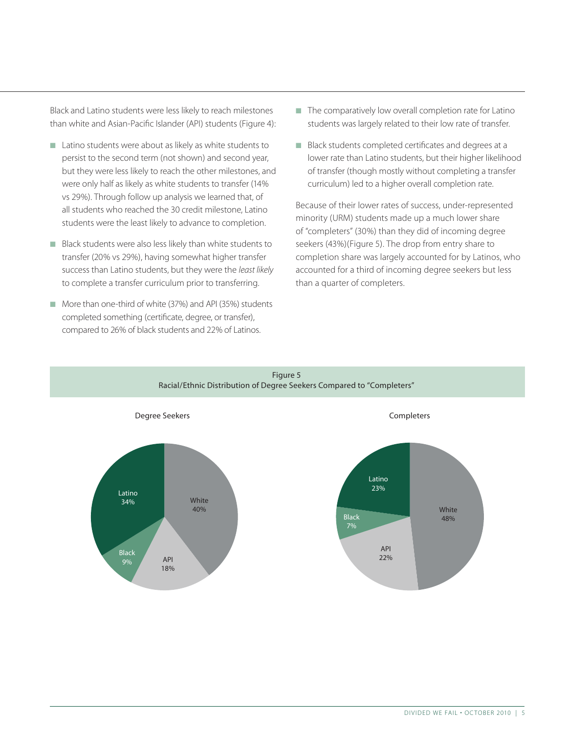Black and Latino students were less likely to reach milestones than white and Asian-Pacific Islander (API) students (Figure 4):

- Latino students were about as likely as white students to persist to the second term (not shown) and second year, but they were less likely to reach the other milestones, and were only half as likely as white students to transfer (14% vs 29%). Through follow up analysis we learned that, of all students who reached the 30 credit milestone, Latino students were the least likely to advance to completion.
- Black students were also less likely than white students to transfer (20% vs 29%), having somewhat higher transfer success than Latino students, but they were the *least likely* to complete a transfer curriculum prior to transferring.
- More than one-third of white (37%) and API (35%) students completed something (certificate, degree, or transfer), compared to 26% of black students and 22% of Latinos.
- $\blacksquare$  The comparatively low overall completion rate for Latino students was largely related to their low rate of transfer.
- Black students completed certificates and degrees at a lower rate than Latino students, but their higher likelihood of transfer (though mostly without completing a transfer curriculum) led to a higher overall completion rate.

Because of their lower rates of success, under-represented minority (URM) students made up a much lower share of "completers" (30%) than they did of incoming degree seekers (43%)(Figure 5). The drop from entry share to completion share was largely accounted for by Latinos, who accounted for a third of incoming degree seekers but less than a quarter of completers.

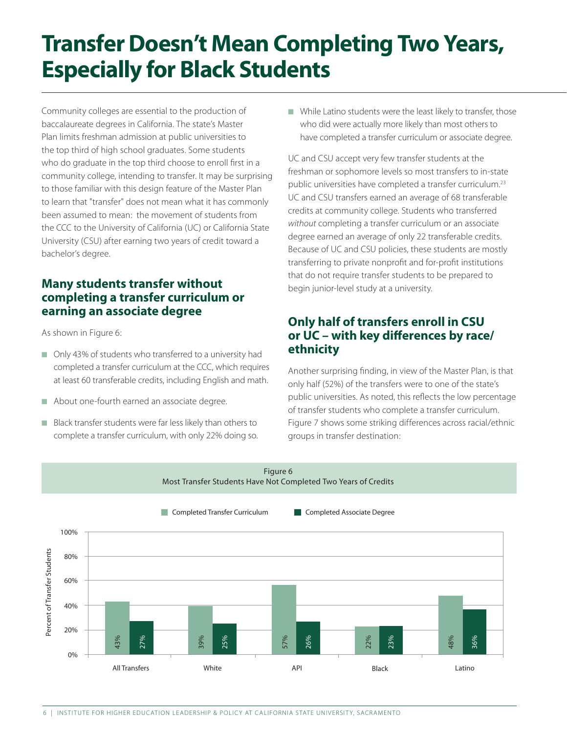# **Transfer Doesn't Mean Completing Two Years, Especially for Black Students**

Community colleges are essential to the production of baccalaureate degrees in California. The state's Master Plan limits freshman admission at public universities to the top third of high school graduates. Some students who do graduate in the top third choose to enroll first in a community college, intending to transfer. It may be surprising to those familiar with this design feature of the Master Plan to learn that "transfer" does not mean what it has commonly been assumed to mean: the movement of students from the CCC to the University of California (UC) or California State University (CSU) after earning two years of credit toward a bachelor's degree.

### **Many students transfer without completing a transfer curriculum or earning an associate degree**

As shown in Figure 6:

- n Only 43% of students who transferred to a university had completed a transfer curriculum at the CCC, which requires at least 60 transferable credits, including English and math.
- About one-fourth earned an associate degree.
- Black transfer students were far less likely than others to complete a transfer curriculum, with only 22% doing so.

 $\blacksquare$  While Latino students were the least likely to transfer, those who did were actually more likely than most others to have completed a transfer curriculum or associate degree.

UC and CSU accept very few transfer students at the freshman or sophomore levels so most transfers to in-state public universities have completed a transfer curriculum.<sup>23</sup> UC and CSU transfers earned an average of 68 transferable credits at community college. Students who transferred *without* completing a transfer curriculum or an associate degree earned an average of only 22 transferable credits. Because of UC and CSU policies, these students are mostly transferring to private nonprofit and for-profit institutions that do not require transfer students to be prepared to begin junior-level study at a university.

### **Only half of transfers enroll in CSU or UC – with key differences by race/ ethnicity**

Another surprising finding, in view of the Master Plan, is that only half (52%) of the transfers were to one of the state's public universities. As noted, this reflects the low percentage of transfer students who complete a transfer curriculum. Figure 7 shows some striking differences across racial/ethnic groups in transfer destination:

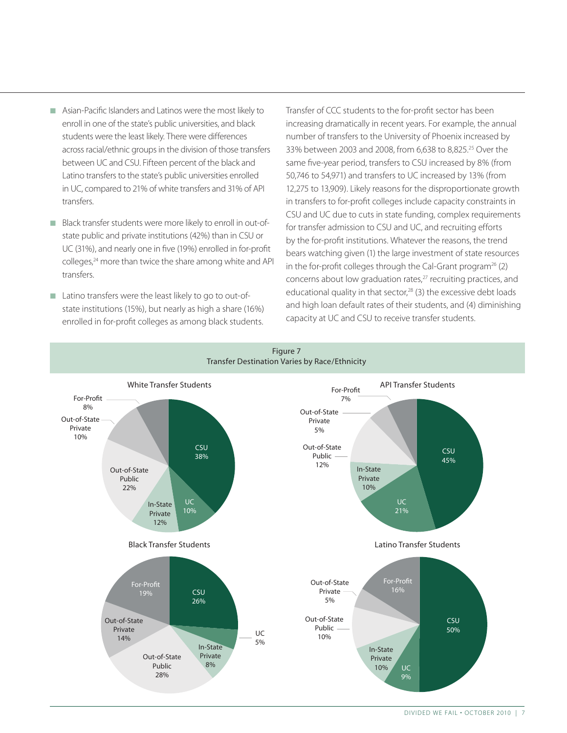- n Asian-Pacific Islanders and Latinos were the most likely to enroll in one of the state's public universities, and black students were the least likely. There were differences across racial/ethnic groups in the division of those transfers between UC and CSU. Fifteen percent of the black and Latino transfers to the state's public universities enrolled in UC, compared to 21% of white transfers and 31% of API transfers.
- Black transfer students were more likely to enroll in out-ofstate public and private institutions (42%) than in CSU or UC (31%), and nearly one in five (19%) enrolled in for-profit colleges,<sup>24</sup> more than twice the share among white and API transfers.
- Latino transfers were the least likely to go to out-ofstate institutions (15%), but nearly as high a share (16%) enrolled in for-profit colleges as among black students.

Transfer of CCC students to the for-profit sector has been increasing dramatically in recent years. For example, the annual number of transfers to the University of Phoenix increased by 33% between 2003 and 2008, from 6,638 to 8,825.25 Over the same five-year period, transfers to CSU increased by 8% (from 50,746 to 54,971) and transfers to UC increased by 13% (from 12,275 to 13,909). Likely reasons for the disproportionate growth in transfers to for-profit colleges include capacity constraints in CSU and UC due to cuts in state funding, complex requirements for transfer admission to CSU and UC, and recruiting efforts by the for-profit institutions. Whatever the reasons, the trend bears watching given (1) the large investment of state resources in the for-profit colleges through the Cal-Grant program<sup>26</sup> (2) concerns about low graduation rates,<sup>27</sup> recruiting practices, and educational quality in that sector, $28$  (3) the excessive debt loads and high loan default rates of their students, and (4) diminishing capacity at UC and CSU to receive transfer students.

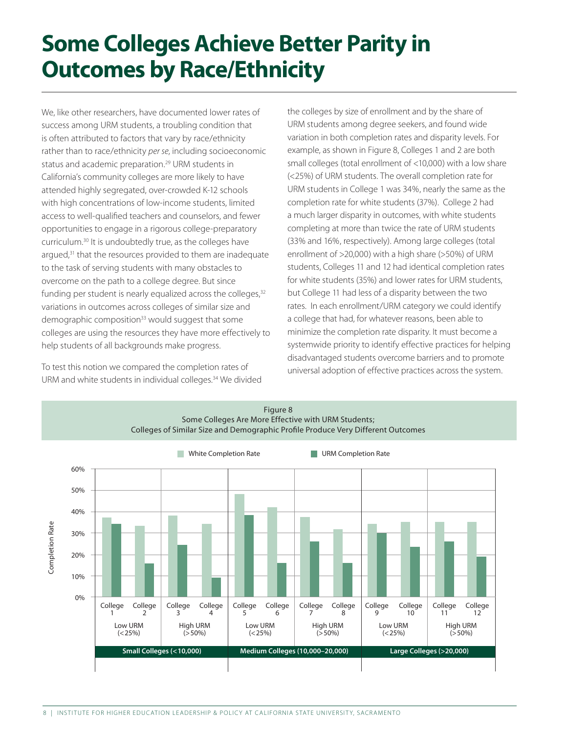# **Some Colleges Achieve Better Parity in Outcomes by Race/Ethnicity**

We, like other researchers, have documented lower rates of success among URM students, a troubling condition that is often attributed to factors that vary by race/ethnicity rather than to race/ethnicity *per se*, including socioeconomic status and academic preparation.<sup>29</sup> URM students in California's community colleges are more likely to have attended highly segregated, over-crowded K-12 schools with high concentrations of low-income students, limited access to well-qualified teachers and counselors, and fewer opportunities to engage in a rigorous college-preparatory curriculum.30 It is undoubtedly true, as the colleges have argued,<sup>31</sup> that the resources provided to them are inadequate to the task of serving students with many obstacles to overcome on the path to a college degree. But since funding per student is nearly equalized across the colleges, $32$ variations in outcomes across colleges of similar size and demographic composition<sup>33</sup> would suggest that some colleges are using the resources they have more effectively to help students of all backgrounds make progress.

To test this notion we compared the completion rates of URM and white students in individual colleges.<sup>34</sup> We divided the colleges by size of enrollment and by the share of URM students among degree seekers, and found wide variation in both completion rates and disparity levels. For example, as shown in Figure 8, Colleges 1 and 2 are both small colleges (total enrollment of <10,000) with a low share (<25%) of URM students. The overall completion rate for URM students in College 1 was 34%, nearly the same as the completion rate for white students (37%). College 2 had a much larger disparity in outcomes, with white students completing at more than twice the rate of URM students (33% and 16%, respectively). Among large colleges (total enrollment of >20,000) with a high share (>50%) of URM students, Colleges 11 and 12 had identical completion rates for white students (35%) and lower rates for URM students, but College 11 had less of a disparity between the two rates. In each enrollment/URM category we could identify a college that had, for whatever reasons, been able to minimize the completion rate disparity. It must become a systemwide priority to identify effective practices for helping disadvantaged students overcome barriers and to promote universal adoption of effective practices across the system.

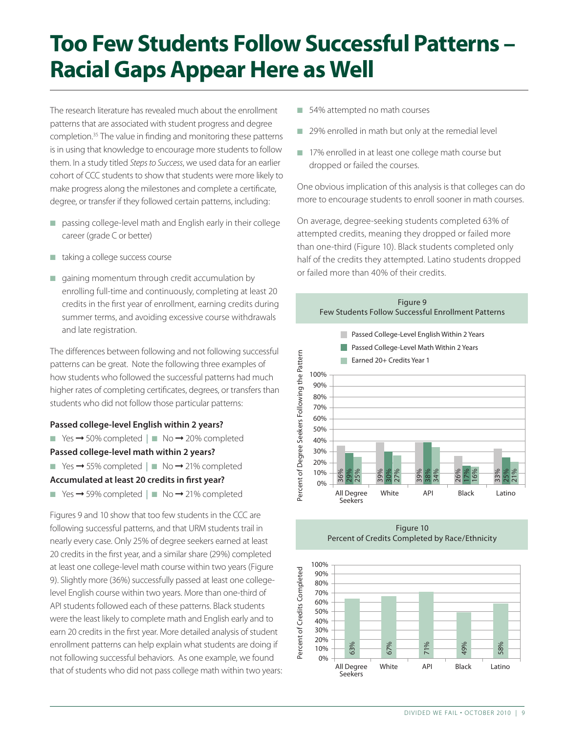# **Too Few Students Follow Successful Patterns – Racial Gaps Appear Here as Well**

The research literature has revealed much about the enrollment patterns that are associated with student progress and degree completion.35 The value in finding and monitoring these patterns is in using that knowledge to encourage more students to follow them. In a study titled *Steps to Success*, we used data for an earlier cohort of CCC students to show that students were more likely to make progress along the milestones and complete a certificate, degree, or transfer if they followed certain patterns, including:

- n passing college-level math and English early in their college career (grade C or better)
- $\blacksquare$  taking a college success course
- $\Box$  gaining momentum through credit accumulation by enrolling full-time and continuously, completing at least 20 credits in the first year of enrollment, earning credits during summer terms, and avoiding excessive course withdrawals and late registration.

The differences between following and not following successful patterns can be great. Note the following three examples of how students who followed the successful patterns had much higher rates of completing certificates, degrees, or transfers than students who did not follow those particular patterns:

#### **Passed college-level English within 2 years?**

■ Yes  $\rightarrow$  50% completed | ■ No  $\rightarrow$  20% completed

#### **Passed college-level math within 2 years?**

■ Yes  $\rightarrow$  55% completed | ■ No  $\rightarrow$  21% completed

#### **Accumulated at least 20 credits in first year?**

■ Yes  $\rightarrow$  59% completed | ■ No  $\rightarrow$  21% completed

Figures 9 and 10 show that too few students in the CCC are following successful patterns, and that URM students trail in nearly every case. Only 25% of degree seekers earned at least 20 credits in the first year, and a similar share (29%) completed at least one college-level math course within two years (Figure 9). Slightly more (36%) successfully passed at least one collegelevel English course within two years. More than one-third of API students followed each of these patterns. Black students were the least likely to complete math and English early and to earn 20 credits in the first year. More detailed analysis of student enrollment patterns can help explain what students are doing if not following successful behaviors. As one example, we found that of students who did not pass college math within two years:

- 54% attempted no math courses
- 29% enrolled in math but only at the remedial level
- 17% enrolled in at least one college math course but dropped or failed the courses.

One obvious implication of this analysis is that colleges can do more to encourage students to enroll sooner in math courses.

On average, degree-seeking students completed 63% of attempted credits, meaning they dropped or failed more than one-third (Figure 10). Black students completed only half of the credits they attempted. Latino students dropped or failed more than 40% of their credits.



Figure 10 Percent of Credits Completed by Race/Ethnicity

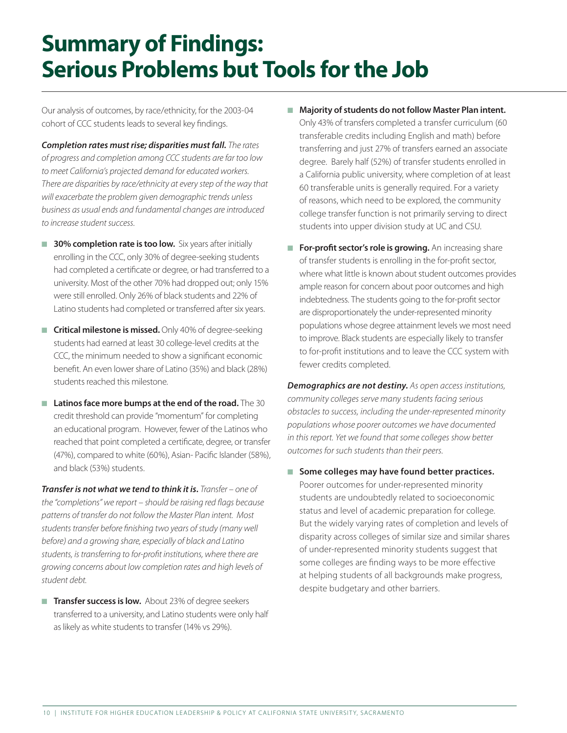# **Summary of Findings: Serious Problems but Tools for the Job**

Our analysis of outcomes, by race/ethnicity, for the 2003-04 cohort of CCC students leads to several key findings.

*Completion rates must rise; disparities must fall. The rates of progress and completion among CCC students are far too low to meet California's projected demand for educated workers. There are disparities by race/ethnicity at every step of the way that will exacerbate the problem given demographic trends unless business as usual ends and fundamental changes are introduced to increase student success.*

- **30% completion rate is too low.** Six years after initially enrolling in the CCC, only 30% of degree-seeking students had completed a certificate or degree, or had transferred to a university. Most of the other 70% had dropped out; only 15% were still enrolled. Only 26% of black students and 22% of Latino students had completed or transferred after six years.
- **T** Critical milestone is missed. Only 40% of degree-seeking students had earned at least 30 college-level credits at the CCC, the minimum needed to show a significant economic benefit. An even lower share of Latino (35%) and black (28%) students reached this milestone.
- **n** Latinos face more bumps at the end of the road. The 30 credit threshold can provide "momentum" for completing an educational program. However, fewer of the Latinos who reached that point completed a certificate, degree, or transfer (47%), compared to white (60%), Asian- Pacific Islander (58%), and black (53%) students.

*Transfer is not what we tend to think it is. Transfer – one of the "completions" we report – should be raising red flags because patterns of transfer do not follow the Master Plan intent. Most students transfer before finishing two years of study (many well before) and a growing share, especially of black and Latino students, is transferring to for-profit institutions, where there are growing concerns about low completion rates and high levels of student debt.*

**Transfer success is low.** About 23% of degree seekers transferred to a university, and Latino students were only half as likely as white students to transfer (14% vs 29%).

- Majority of students do not follow Master Plan intent. Only 43% of transfers completed a transfer curriculum (60 transferable credits including English and math) before transferring and just 27% of transfers earned an associate degree. Barely half (52%) of transfer students enrolled in a California public university, where completion of at least 60 transferable units is generally required. For a variety of reasons, which need to be explored, the community college transfer function is not primarily serving to direct students into upper division study at UC and CSU.
- **For-profit sector's role is growing.** An increasing share of transfer students is enrolling in the for-profit sector, where what little is known about student outcomes provides ample reason for concern about poor outcomes and high indebtedness. The students going to the for-profit sector are disproportionately the under-represented minority populations whose degree attainment levels we most need to improve. Black students are especially likely to transfer to for-profit institutions and to leave the CCC system with fewer credits completed.

*Demographics are not destiny. As open access institutions, community colleges serve many students facing serious obstacles to success, including the under-represented minority populations whose poorer outcomes we have documented in this report. Yet we found that some colleges show better outcomes for such students than their peers.*

■ Some colleges may have found better practices. Poorer outcomes for under-represented minority students are undoubtedly related to socioeconomic status and level of academic preparation for college. But the widely varying rates of completion and levels of disparity across colleges of similar size and similar shares of under-represented minority students suggest that some colleges are finding ways to be more effective at helping students of all backgrounds make progress, despite budgetary and other barriers.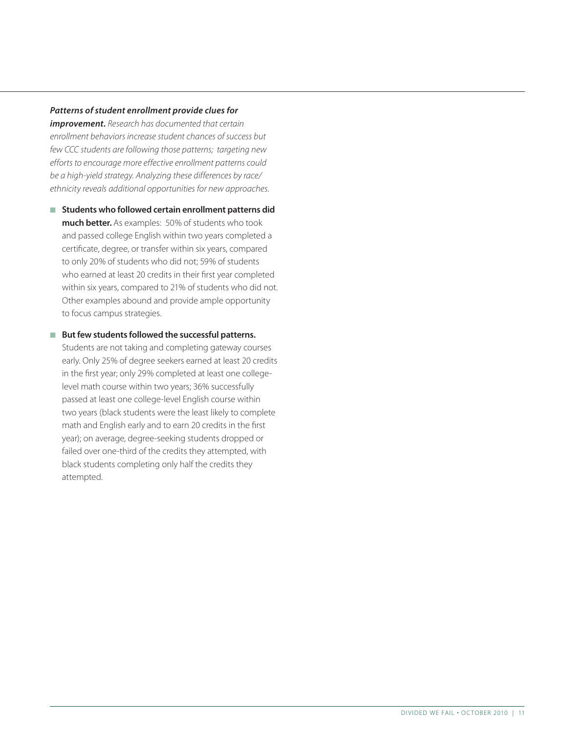#### *Patterns of student enrollment provide clues for*

*improvement. Research has documented that certain enrollment behaviors increase student chances of success but few CCC students are following those patterns; targeting new efforts to encourage more effective enrollment patterns could be a high-yield strategy. Analyzing these differences by race/ ethnicity reveals additional opportunities for new approaches.*

- Students who followed certain enrollment patterns did **much better.** As examples: 50% of students who took and passed college English within two years completed a certificate, degree, or transfer within six years, compared to only 20% of students who did not; 59% of students who earned at least 20 credits in their first year completed within six years, compared to 21% of students who did not. Other examples abound and provide ample opportunity to focus campus strategies.
- But few students followed the successful patterns. Students are not taking and completing gateway courses early. Only 25% of degree seekers earned at least 20 credits in the first year; only 29% completed at least one collegelevel math course within two years; 36% successfully passed at least one college-level English course within two years (black students were the least likely to complete math and English early and to earn 20 credits in the first year); on average, degree-seeking students dropped or failed over one-third of the credits they attempted, with black students completing only half the credits they attempted.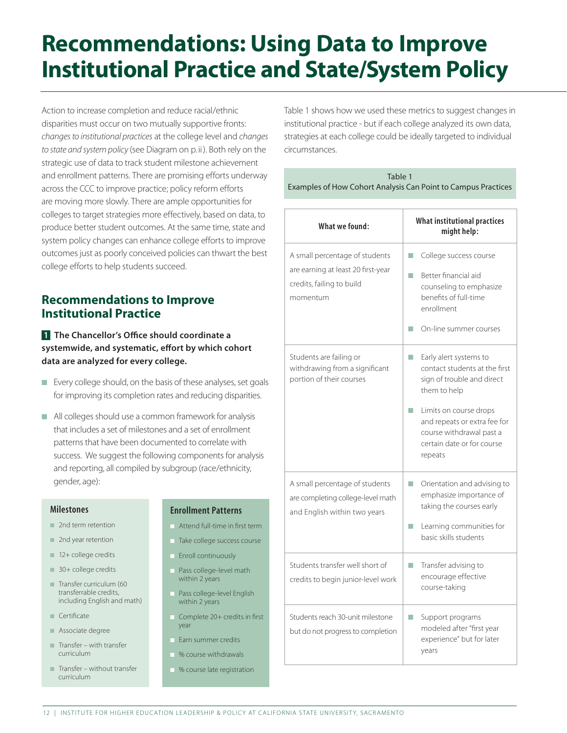# **Recommendations: Using Data to Improve Institutional Practice and State/System Policy**

Action to increase completion and reduce racial/ethnic disparities must occur on two mutually supportive fronts: *changes to institutional practices* at the college level and *changes to state and system policy* (see Diagram on p. ii). Both rely on the strategic use of data to track student milestone achievement and enrollment patterns. There are promising efforts underway across the CCC to improve practice; policy reform efforts are moving more slowly. There are ample opportunities for colleges to target strategies more effectively, based on data, to produce better student outcomes. At the same time, state and system policy changes can enhance college efforts to improve outcomes just as poorly conceived policies can thwart the best college efforts to help students succeed.

### **Recommendations to Improve Institutional Practice**

**1 The Chancellor's Office should coordinate a systemwide, and systematic, effort by which cohort data are analyzed for every college.** 

- Every college should, on the basis of these analyses, set goals for improving its completion rates and reducing disparities.
- n All colleges should use a common framework for analysis that includes a set of milestones and a set of enrollment patterns that have been documented to correlate with success. We suggest the following components for analysis and reporting, all compiled by subgroup (race/ethnicity, gender, age):

#### **Milestones**

- $\blacksquare$  2nd term retention
- $\blacksquare$  2nd year retention
- $\blacksquare$  12+ college credits
- $\blacksquare$  30+ college credits
- $\blacksquare$  Transfer curriculum (60 transferrable credits, including English and math)
- $\blacksquare$  Certificate
- **n** Associate degree
- $\blacksquare$  Transfer with transfer curriculum
- $\blacksquare$  Transfer without transfer curriculum

#### Enrollment Patterns

- Attend full-time in first term
- n Take college success course
- Enroll continuously
- Pass college-level math within 2 years
- Pass college-level English within 2 years
- $\Box$  Complete 20+ credits in first year
- Farn summer credits
- % course withdrawals
	- % course late registration

Table 1 shows how we used these metrics to suggest changes in institutional practice - but if each college analyzed its own data, strategies at each college could be ideally targeted to individual circumstances.

| Table 1                                                       |
|---------------------------------------------------------------|
| Examples of How Cohort Analysis Can Point to Campus Practices |

| What we found:                                                                                                | <b>What institutional practices</b><br>might help:                                                                                                                                                                                                                  |
|---------------------------------------------------------------------------------------------------------------|---------------------------------------------------------------------------------------------------------------------------------------------------------------------------------------------------------------------------------------------------------------------|
| A small percentage of students<br>are earning at least 20 first-year<br>credits, failing to build<br>momentum | College success course<br>T.<br>Better financial aid<br>m.<br>counseling to emphasize<br>benefits of full-time<br>enrollment<br>On-line summer courses<br>П                                                                                                         |
| Students are failing or<br>withdrawing from a significant<br>portion of their courses                         | Early alert systems to<br>$\mathcal{L}_{\mathcal{A}}$<br>contact students at the first<br>sign of trouble and direct<br>them to help<br>Limits on course drops<br>and repeats or extra fee for<br>course withdrawal past a<br>certain date or for course<br>repeats |
| A small percentage of students<br>are completing college-level math<br>and English within two years           | Orientation and advising to<br>emphasize importance of<br>taking the courses early<br>Learning communities for<br>basic skills students                                                                                                                             |
| Students transfer well short of<br>credits to begin junior-level work                                         | Transfer advising to<br>m.<br>encourage effective<br>course-taking                                                                                                                                                                                                  |
| Students reach 30-unit milestone<br>but do not progress to completion                                         | Support programs<br><b>Tale</b><br>modeled after "first year<br>experience" but for later<br>years                                                                                                                                                                  |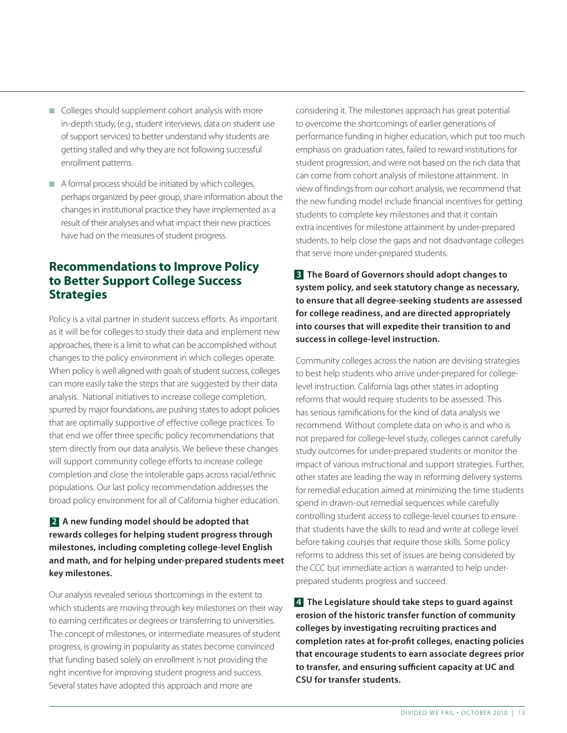- $\Box$  Colleges should supplement cohort analysis with more in-depth study, (e.g., student interviews, data on student use of support services) to better understand why students are getting stalled and why they are not following successful enrollment patterns.
- n A formal process should be initiated by which colleges, perhaps organized by peer group, share information about the changes in institutional practice they have implemented as a result of their analyses and what impact their new practices have had on the measures of student progress.

### **Recommendations to Improve Policy to Better Support College Success Strategies**

Policy is a vital partner in student success efforts. As important as it will be for colleges to study their data and implement new approaches, there is a limit to what can be accomplished without changes to the policy environment in which colleges operate. When policy is well aligned with goals of student success, colleges can more easily take the steps that are suggested by their data analysis. National initiatives to increase college completion, spurred by major foundations, are pushing states to adopt policies that are optimally supportive of effective college practices. To that end we offer three specific policy recommendations that stem directly from our data analysis. We believe these changes will support community college efforts to increase college completion and close the intolerable gaps across racial/ethnic populations. Our last policy recommendation addresses the broad policy environment for all of California higher education.

### **2 A new funding model should be adopted that rewards colleges for helping student progress through milestones, including completing college-level English and math, and for helping under-prepared students meet key milestones.**

Our analysis revealed serious shortcomings in the extent to which students are moving through key milestones on their way to earning certificates or degrees or transferring to universities. The concept of milestones, or intermediate measures of student progress, is growing in popularity as states become convinced that funding based solely on enrollment is not providing the right incentive for improving student progress and success. Several states have adopted this approach and more are

considering it. The milestones approach has great potential to overcome the shortcomings of earlier generations of performance funding in higher education, which put too much emphasis on graduation rates, failed to reward institutions for student progression, and were not based on the rich data that can come from cohort analysis of milestone attainment. In view of findings from our cohort analysis, we recommend that the new funding model include financial incentives for getting students to complete key milestones and that it contain extra incentives for milestone attainment by under-prepared students, to help close the gaps and not disadvantage colleges that serve more under-prepared students.

**3 The Board of Governors should adopt changes to system policy, and seek statutory change as necessary, to ensure that all degree-seeking students are assessed for college readiness, and are directed appropriately into courses that will expedite their transition to and success in college-level instruction.**

Community colleges across the nation are devising strategies to best help students who arrive under-prepared for collegelevel instruction. California lags other states in adopting reforms that would require students to be assessed. This has serious ramifications for the kind of data analysis we recommend. Without complete data on who is and who is not prepared for college-level study, colleges cannot carefully study outcomes for under-prepared students or monitor the impact of various instructional and support strategies. Further, other states are leading the way in reforming delivery systems for remedial education aimed at minimizing the time students spend in drawn-out remedial sequences while carefully controlling student access to college-level courses to ensure that students have the skills to read and write at college level before taking courses that require those skills. Some policy reforms to address this set of issues are being considered by the CCC but immediate action is warranted to help underprepared students progress and succeed.

**4 The Legislature should take steps to guard against erosion of the historic transfer function of community colleges by investigating recruiting practices and completion rates at for-profit colleges, enacting policies that encourage students to earn associate degrees prior to transfer, and ensuring sufficient capacity at UC and CSU for transfer students.**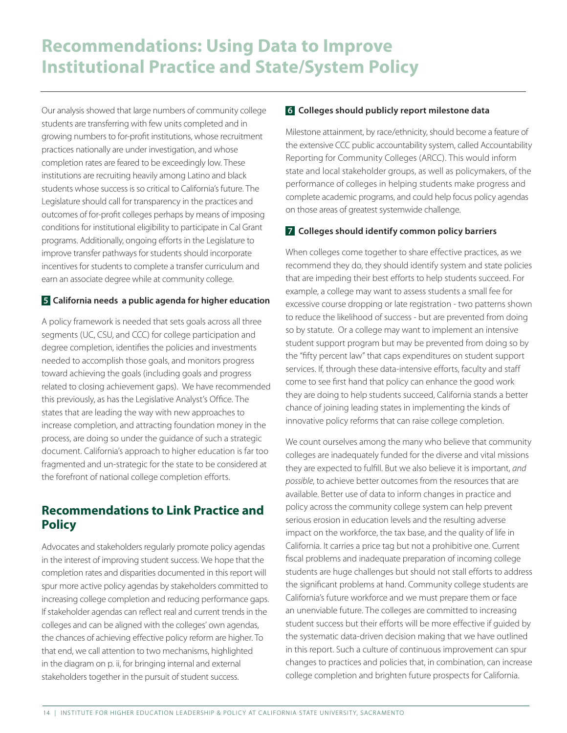Our analysis showed that large numbers of community college students are transferring with few units completed and in growing numbers to for-profit institutions, whose recruitment practices nationally are under investigation, and whose completion rates are feared to be exceedingly low. These institutions are recruiting heavily among Latino and black students whose success is so critical to California's future. The Legislature should call for transparency in the practices and outcomes of for-profit colleges perhaps by means of imposing conditions for institutional eligibility to participate in Cal Grant programs. Additionally, ongoing efforts in the Legislature to improve transfer pathways for students should incorporate incentives for students to complete a transfer curriculum and earn an associate degree while at community college.

### **5 California needs a public agenda for higher education**

A policy framework is needed that sets goals across all three segments (UC, CSU, and CCC) for college participation and degree completion, identifies the policies and investments needed to accomplish those goals, and monitors progress toward achieving the goals (including goals and progress related to closing achievement gaps). We have recommended this previously, as has the Legislative Analyst's Office. The states that are leading the way with new approaches to increase completion, and attracting foundation money in the process, are doing so under the guidance of such a strategic document. California's approach to higher education is far too fragmented and un-strategic for the state to be considered at the forefront of national college completion efforts.

## **Recommendations to Link Practice and Policy**

Advocates and stakeholders regularly promote policy agendas in the interest of improving student success. We hope that the completion rates and disparities documented in this report will spur more active policy agendas by stakeholders committed to increasing college completion and reducing performance gaps. If stakeholder agendas can reflect real and current trends in the colleges and can be aligned with the colleges' own agendas, the chances of achieving effective policy reform are higher. To that end, we call attention to two mechanisms, highlighted in the diagram on p. ii, for bringing internal and external stakeholders together in the pursuit of student success.

### **6 Colleges should publicly report milestone data**

Milestone attainment, by race/ethnicity, should become a feature of the extensive CCC public accountability system, called Accountability Reporting for Community Colleges (ARCC). This would inform state and local stakeholder groups, as well as policymakers, of the performance of colleges in helping students make progress and complete academic programs, and could help focus policy agendas on those areas of greatest systemwide challenge.

### **7 Colleges should identify common policy barriers**

When colleges come together to share effective practices, as we recommend they do, they should identify system and state policies that are impeding their best efforts to help students succeed. For example, a college may want to assess students a small fee for excessive course dropping or late registration - two patterns shown to reduce the likelihood of success - but are prevented from doing so by statute. Or a college may want to implement an intensive student support program but may be prevented from doing so by the "fifty percent law" that caps expenditures on student support services. If, through these data-intensive efforts, faculty and staff come to see first hand that policy can enhance the good work they are doing to help students succeed, California stands a better chance of joining leading states in implementing the kinds of innovative policy reforms that can raise college completion.

We count ourselves among the many who believe that community colleges are inadequately funded for the diverse and vital missions they are expected to fulfill. But we also believe it is important, *and possible*, to achieve better outcomes from the resources that are available. Better use of data to inform changes in practice and policy across the community college system can help prevent serious erosion in education levels and the resulting adverse impact on the workforce, the tax base, and the quality of life in California. It carries a price tag but not a prohibitive one. Current fiscal problems and inadequate preparation of incoming college students are huge challenges but should not stall efforts to address the significant problems at hand. Community college students are California's future workforce and we must prepare them or face an unenviable future. The colleges are committed to increasing student success but their efforts will be more effective if guided by the systematic data-driven decision making that we have outlined in this report. Such a culture of continuous improvement can spur changes to practices and policies that, in combination, can increase college completion and brighten future prospects for California.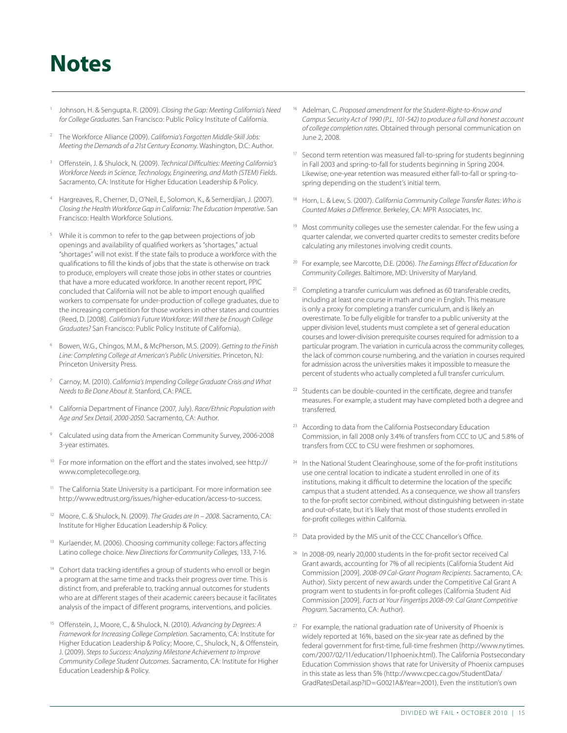# **Institution**

- <sup>1</sup> Johnson, H. & Sengupta, R. (2009). *Closing the Gap: Meeting California's Need for College Graduates*. San Francisco: Public Policy Institute of California.
- <sup>2</sup> The Workforce Alliance (2009). *California's Forgotten Middle-Skill Jobs: Meeting the Demands of a 21st Century Economy*. Washington, D.C: Author.
- 3 Offenstein, J. & Shulock, N. (2009). *Technical Difficulties: Meeting California's Workforce Needs in Science, Technology, Engineering, and Math (STEM) Fields*. Sacramento, CA: Institute for Higher Education Leadership & Policy.
- Hargreaves, R., Cherner, D., O'Neil, E., Solomon, K., & Semerdjian, J. (2007). *Closing the Health Workforce Gap in California: The Education Imperative*. San Francisco: Health Workforce Solutions.
- While it is common to refer to the gap between projections of job openings and availability of qualified workers as "shortages," actual "shortages" will not exist. If the state fails to produce a workforce with the qualifications to fill the kinds of jobs that the state is otherwise on track to produce, employers will create those jobs in other states or countries that have a more educated workforce. In another recent report, PPIC concluded that California will not be able to import enough qualified workers to compensate for under-production of college graduates, due to the increasing competition for those workers in other states and countries (Reed, D. [2008]. *California's Future Workforce: Will there be Enough College Graduates?* San Francisco: Public Policy Institute of California).
- <sup>6</sup> Bowen, W.G., Chingos, M.M., & McPherson, M.S. (2009). *Getting to the Finish Line: Completing College at American's Public Universities*. Princeton, NJ: Princeton University Press.
- <sup>7</sup> Carnoy, M. (2010). *California's Impending College Graduate Crisis and What Needs to Be Done About It*. Stanford, CA: PACE.
- <sup>8</sup> California Department of Finance (2007, July). *Race/Ethnic Population with Age and Sex Detail, 2000-2050*. Sacramento, CA: Author.
- <sup>9</sup> Calculated using data from the American Community Survey, 2006-2008 3-year estimates.
- <sup>10</sup> For more information on the effort and the states involved, see http:// [www.completecollege.org.](www.completecollege.org)
- The California State University is a participant. For more information see [http://www.edtrust.org/issues/higher-education/access-to-success.](www.edtrust.org/issues/higher-education/access-to-success)
- 12 Moore, C. & Shulock, N. (2009). *The Grades are In 2008*. Sacramento, CA: Institute for Higher Education Leadership & Policy.
- <sup>13</sup> Kurlaender, M. (2006). Choosing community college: Factors affecting Latino college choice. *New Directions for Community Colleges*, 133, 7-16.
- <sup>14</sup> Cohort data tracking identifies a group of students who enroll or begin a program at the same time and tracks their progress over time. This is distinct from, and preferable to, tracking annual outcomes for students who are at different stages of their academic careers because it facilitates analysis of the impact of different programs, interventions, and policies.
- 15 Offenstein, J., Moore, C., & Shulock, N. (2010). *Advancing by Degrees: A Framework for Increasing College Completion*. Sacramento, CA: Institute for Higher Education Leadership & Policy; Moore, C., Shulock, N., & Offenstein, J. (2009). *Steps to Success: Analyzing Milestone Achievement to Improve Community College Student Outcomes*. Sacramento, CA: Institute for Higher Education Leadership & Policy.
- <sup>16</sup> Adelman, C. *Proposed amendment for the Student-Right-to-Know and Campus Security Act of 1990 (P.L. 101-542) to produce a full and honest account of college completion rates*. Obtained through personal communication on June 2, 2008.
- <sup>17</sup> Second term retention was measured fall-to-spring for students beginning in Fall 2003 and spring-to-fall for students beginning in Spring 2004. Likewise, one-year retention was measured either fall-to-fall or spring-tospring depending on the student's initial term.
- <sup>18</sup> Horn, L. & Lew, S. (2007). *California Community College Transfer Rates: Who is Counted Makes a Difference*. Berkeley, CA: MPR Associates, Inc.
- <sup>19</sup> Most community colleges use the semester calendar. For the few using a quarter calendar, we converted quarter credits to semester credits before calculating any milestones involving credit counts.
- <sup>20</sup> For example, see Marcotte, D.E. (2006). *The Earnings Effect of Education for Community Colleges*. Baltimore, MD: University of Maryland.
- <sup>21</sup> Completing a transfer curriculum was defined as 60 transferable credits, including at least one course in math and one in English. This measure is only a proxy for completing a transfer curriculum, and is likely an overestimate. To be fully eligible for transfer to a public university at the upper division level, students must complete a set of general education courses and lower-division prerequisite courses required for admission to a particular program. The variation in curricula across the community colleges, the lack of common course numbering, and the variation in courses required for admission across the universities makes it impossible to measure the percent of students who actually completed a full transfer curriculum.
- <sup>22</sup> Students can be double-counted in the certificate, degree and transfer measures. For example, a student may have completed both a degree and transferred.
- <sup>23</sup> According to data from the California Postsecondary Education Commission, in fall 2008 only 3.4% of transfers from CCC to UC and 5.8% of transfers from CCC to CSU were freshmen or sophomores.
- <sup>24</sup> In the National Student Clearinghouse, some of the for-profit institutions use one central location to indicate a student enrolled in one of its institutions, making it difficult to determine the location of the specific campus that a student attended. As a consequence, we show all transfers to the for-profit sector combined, without distinguishing between in-state and out-of-state, but it's likely that most of those students enrolled in for-profit colleges within California.
- <sup>25</sup> Data provided by the MIS unit of the CCC Chancellor's Office.
- <sup>26</sup> In 2008-09, nearly 20,000 students in the for-profit sector received Cal Grant awards, accounting for 7% of all recipients (California Student Aid Commission [2009]. *2008-09 Cal-Grant Program Recipients*. Sacramento, CA: Author). Sixty percent of new awards under the Competitive Cal Grant A program went to students in for-profit colleges (California Student Aid Commission [2009]. *Facts at Your Fingertips 2008-09: Cal Grant Competitive Program*. Sacramento, CA: Author).
- <sup>27</sup> For example, the national graduation rate of University of Phoenix is widely reported at 16%, based on the six-year rate as defined by the federal government for first-time, full-time freshmen ([http://www.nytimes.](www.nytimes.com/2007/02/11/education/11phoenix.html) [com/2007/02/11/education/11phoenix.html\).](www.nytimes.com/2007/02/11/education/11phoenix.html) The California Postsecondary Education Commission shows that rate for University of Phoenix campuses in this state as less than 5% [\(http://www.cpec.ca.gov/StudentData/](www.cpec.ca.gov/StudentData/GradRatesDetail.asp?ID=G0021A&Year=2001) [GradRatesDetail.asp?ID=G0021A&Year=20](www.cpec.ca.gov/StudentData/GradRatesDetail.asp?ID=G0021A&Year=2001)01). Even the institution's own